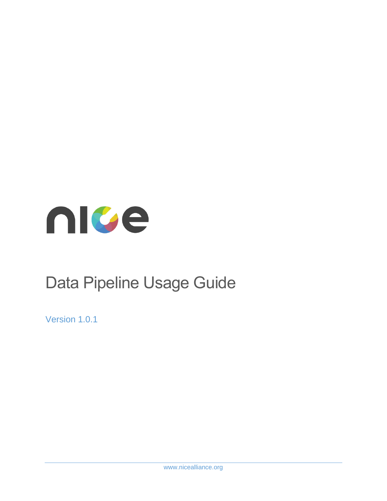

# Data Pipeline Usage Guide

Version 1.0.1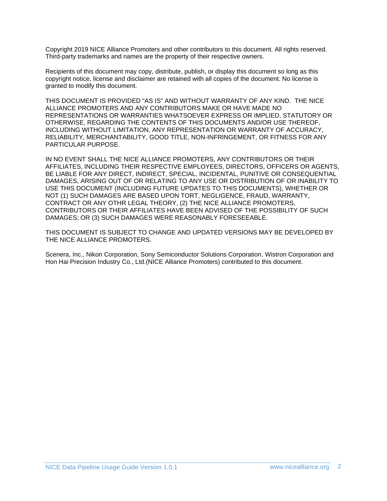Copyright 2019 NICE Alliance Promoters and other contributors to this document. All rights reserved. Third-party trademarks and names are the property of their respective owners.

Recipients of this document may copy, distribute, publish, or display this document so long as this copyright notice, license and disclaimer are retained with all copies of the document. No license is granted to modify this document.

THIS DOCUMENT IS PROVIDED "AS IS" AND WITHOUT WARRANTY OF ANY KIND. THE NICE ALLIANCE PROMOTERS AND ANY CONTRIBUTORS MAKE OR HAVE MADE NO REPRESENTATIONS OR WARRANTIES WHATSOEVER EXPRESS OR IMPLIED, STATUTORY OR OTHERWISE, REGARDING THE CONTENTS OF THIS DOCUMENTS AND/OR USE THEREOF, INCLUDING WITHOUT LIMITATION, ANY REPRESENTATION OR WARRANTY OF ACCURACY, RELIABILITY, MERCHANTABILITY, GOOD TITLE, NON-INFRINGEMENT, OR FITNESS FOR ANY PARTICULAR PURPOSE.

IN NO EVENT SHALL THE NICE ALLIANCE PROMOTERS, ANY CONTRIBUTORS OR THEIR AFFILIATES, INCLUDING THEIR RESPECTIVE EMPLOYEES, DIRECTORS, OFFICERS OR AGENTS, BE LIABLE FOR ANY DIRECT, INDIRECT, SPECIAL, INCIDENTAL, PUNITIVE OR CONSEQUENTIAL DAMAGES, ARISING OUT OF OR RELATING TO ANY USE OR DISTRIBUTION OF OR INABILITY TO USE THIS DOCUMENT (INCLUDING FUTURE UPDATES TO THIS DOCUMENTS), WHETHER OR NOT (1) SUCH DAMAGES ARE BASED UPON TORT, NEGLIGENCE, FRAUD, WARRANTY, CONTRACT OR ANY OTHR LEGAL THEORY, (2) THE NICE ALLIANCE PROMOTERS, CONTRIBUTORS OR THEIR AFFILIATES HAVE BEEN ADVISED OF THE POSSIBILITY OF SUCH DAMAGES; OR (3) SUCH DAMAGES WERE REASONABLY FORESEEABLE.

THIS DOCUMENT IS SUBJECT TO CHANGE AND UPDATED VERSIONS MAY BE DEVELOPED BY THE NICE ALLIANCE PROMOTERS.

Scenera, Inc., Nikon Corporation, Sony Semiconductor Solutions Corporation, Wistron Corporation and Hon Hai Precision Industry Co., Ltd.(NICE Alliance Promoters) contributed to this document.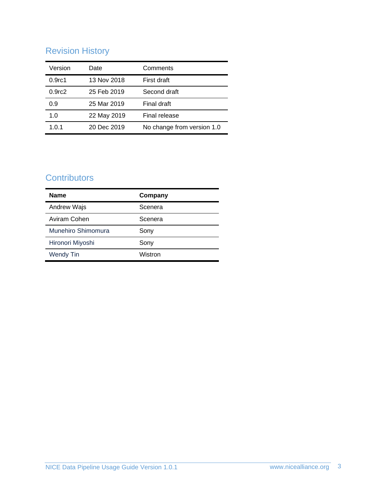## Revision History

| Version            | Date        | Comments                   |
|--------------------|-------------|----------------------------|
| 0.9 <sub>rc1</sub> | 13 Nov 2018 | First draft                |
| 0.9 <sub>rc2</sub> | 25 Feb 2019 | Second draft               |
| 0.9                | 25 Mar 2019 | Final draft                |
| 1.0                | 22 May 2019 | Final release              |
| 1.0.1              | 20 Dec 2019 | No change from version 1.0 |

## **Contributors**

| <b>Name</b>        | Company |
|--------------------|---------|
| Andrew Wajs        | Scenera |
| Aviram Cohen       | Scenera |
| Munehiro Shimomura | Sony    |
| Hironori Miyoshi   | Sony    |
| <b>Wendy Tin</b>   | Wistron |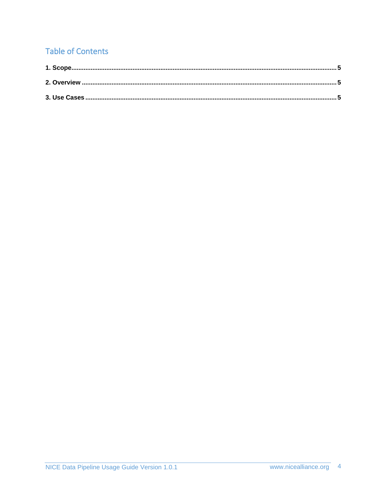## **Table of Contents**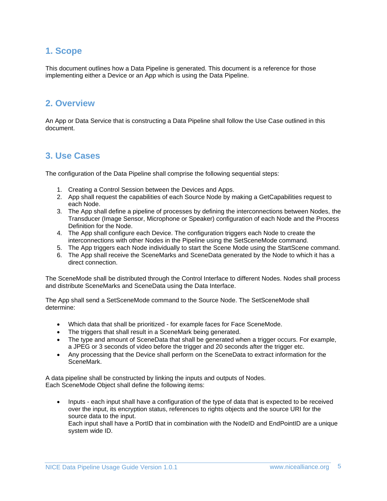### <span id="page-4-0"></span>**1. Scope**

This document outlines how a Data Pipeline is generated. This document is a reference for those implementing either a Device or an App which is using the Data Pipeline.

### <span id="page-4-1"></span>**2. Overview**

An App or Data Service that is constructing a Data Pipeline shall follow the Use Case outlined in this document.

#### <span id="page-4-2"></span>**3. Use Cases**

The configuration of the Data Pipeline shall comprise the following sequential steps:

- 1. Creating a Control Session between the Devices and Apps.
- 2. App shall request the capabilities of each Source Node by making a GetCapabilities request to each Node.
- 3. The App shall define a pipeline of processes by defining the interconnections between Nodes, the Transducer (Image Sensor, Microphone or Speaker) configuration of each Node and the Process Definition for the Node.
- 4. The App shall configure each Device. The configuration triggers each Node to create the interconnections with other Nodes in the Pipeline using the SetSceneMode command.
- 5. The App triggers each Node individually to start the Scene Mode using the StartScene command.
- 6. The App shall receive the SceneMarks and SceneData generated by the Node to which it has a direct connection.

The SceneMode shall be distributed through the Control Interface to different Nodes. Nodes shall process and distribute SceneMarks and SceneData using the Data Interface.

The App shall send a SetSceneMode command to the Source Node. The SetSceneMode shall determine:

- Which data that shall be prioritized for example faces for Face SceneMode.
- The triggers that shall result in a SceneMark being generated.
- The type and amount of SceneData that shall be generated when a trigger occurs. For example, a JPEG or 3 seconds of video before the trigger and 20 seconds after the trigger etc.
- Any processing that the Device shall perform on the SceneData to extract information for the SceneMark.

A data pipeline shall be constructed by linking the inputs and outputs of Nodes. Each SceneMode Object shall define the following items:

• Inputs - each input shall have a configuration of the type of data that is expected to be received over the input, its encryption status, references to rights objects and the source URI for the source data to the input. Each input shall have a PortID that in combination with the NodeID and EndPointID are a unique system wide ID.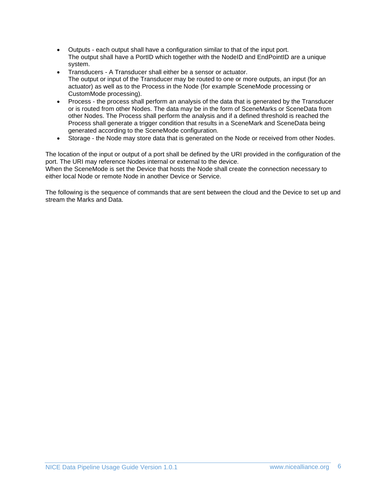- Outputs each output shall have a configuration similar to that of the input port. The output shall have a PortID which together with the NodeID and EndPointID are a unique system.
- Transducers A Transducer shall either be a sensor or actuator. The output or input of the Transducer may be routed to one or more outputs, an input (for an actuator) as well as to the Process in the Node (for example SceneMode processing or CustomMode processing).
- Process the process shall perform an analysis of the data that is generated by the Transducer or is routed from other Nodes. The data may be in the form of SceneMarks or SceneData from other Nodes. The Process shall perform the analysis and if a defined threshold is reached the Process shall generate a trigger condition that results in a SceneMark and SceneData being generated according to the SceneMode configuration.
- Storage the Node may store data that is generated on the Node or received from other Nodes.

The location of the input or output of a port shall be defined by the URI provided in the configuration of the port. The URI may reference Nodes internal or external to the device.

When the SceneMode is set the Device that hosts the Node shall create the connection necessary to either local Node or remote Node in another Device or Service.

The following is the sequence of commands that are sent between the cloud and the Device to set up and stream the Marks and Data.